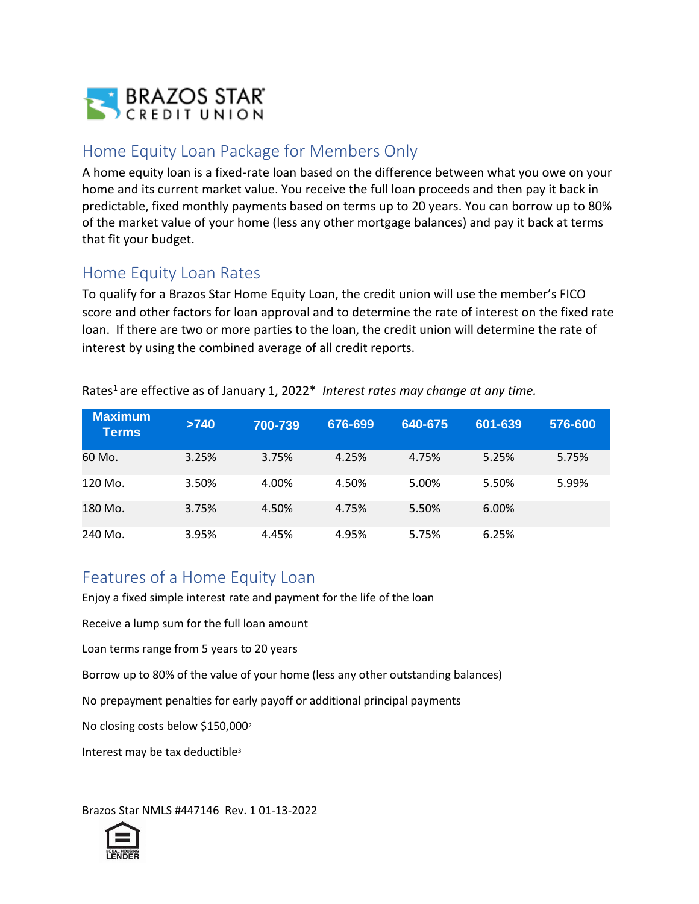

## Home Equity Loan Package for Members Only

A home equity loan is a fixed-rate loan based on the difference between what you owe on your home and its current market value. You receive the full loan proceeds and then pay it back in predictable, fixed monthly payments based on terms up to 20 years. You can borrow up to 80% of the market value of your home (less any other mortgage balances) and pay it back at terms that fit your budget.

## Home Equity Loan Rates

To qualify for a Brazos Star Home Equity Loan, the credit union will use the member's FICO score and other factors for loan approval and to determine the rate of interest on the fixed rate loan. If there are two or more parties to the loan, the credit union will determine the rate of interest by using the combined average of all credit reports.

| <b>Maximum</b><br><b>Terms</b> | >740  | 700-739 | 676-699 | 640-675 | 601-639 | 576-600 |
|--------------------------------|-------|---------|---------|---------|---------|---------|
| 60 Mo.                         | 3.25% | 3.75%   | 4.25%   | 4.75%   | 5.25%   | 5.75%   |
| 120 Mo.                        | 3.50% | 4.00%   | 4.50%   | 5.00%   | 5.50%   | 5.99%   |
| 180 Mo.                        | 3.75% | 4.50%   | 4.75%   | 5.50%   | 6.00%   |         |
| 240 Mo.                        | 3.95% | 4.45%   | 4.95%   | 5.75%   | 6.25%   |         |

Rates<sup>1</sup> are effective as of January 1, 2022<sup>\*</sup> Interest rates may change at any time.

## Features of a Home Equity Loan

Enjoy a fixed simple interest rate and payment for the life of the loan

Receive a lump sum for the full loan amount

Loan terms range from 5 years to 20 years

Borrow up to 80% of the value of your home (less any other outstanding balances)

No prepayment penalties for early payoff or additional principal payments

No closing costs below \$150,000<sup>2</sup>

Interest may be tax deductible<sup>3</sup>

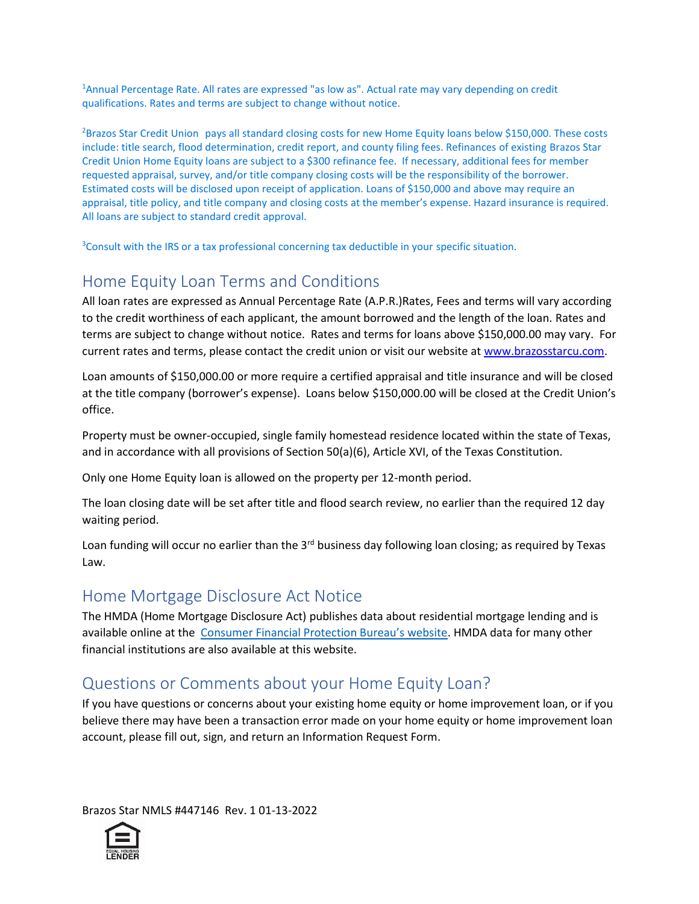<sup>1</sup>Annual Percentage Rate. All rates are expressed "as low as". Actual rate may vary depending on credit qualifications. Rates and terms are subject to change without notice.

<sup>2</sup>Brazos Star Credit Union pays all standard closing costs for new Home Equity loans below \$150,000. These costs include: title search, flood determination, credit report, and county filing fees. Refinances of existing Brazos Star Credit Union Home Equity loans are subject to a \$300 refinance fee. If necessary, additional fees for member requested appraisal, survey, and/or title company closing costs will be the responsibility of the borrower. Estimated costs will be disclosed upon receipt of application. Loans of \$150,000 and above may require an appraisal, title policy, and title company and closing costs at the member's expense. Hazard insurance is required. All loans are subject to standard credit approval.

<sup>3</sup>Consult with the IRS or a tax professional concerning tax deductible in your specific situation.

# Home Equity Loan Terms and Conditions

All loan rates are expressed as Annual Percentage Rate (A.P.R.)Rates, Fees and terms will vary according to the credit worthiness of each applicant, the amount borrowed and the length of the loan. Rates and terms are subject to change without notice. Rates and terms for loans above \$150,000.00 may vary. For current rates and terms, please contact the credit union or visit our website at [www.brazosstarcu.com.](http://www.brazosstarcu.com/)

Loan amounts of \$150,000.00 or more require a certified appraisal and title insurance and will be closed at the title company (borrower's expense). Loans below \$150,000.00 will be closed at the Credit Union's office.

Property must be owner-occupied, single family homestead residence located within the state of Texas, and in accordance with all provisions of Section 50(a)(6), Article XVI, of the Texas Constitution.

Only one Home Equity loan is allowed on the property per 12-month period.

The loan closing date will be set after title and flood search review, no earlier than the required 12 day waiting period.

Loan funding will occur no earlier than the 3<sup>rd</sup> business day following loan closing; as required by Texas Law.

## Home Mortgage Disclosure Act Notice

The HMDA (Home Mortgage Disclosure Act) publishes data about residential mortgage lending and is available online at the [Consumer Financial Protection Bureau's website](http://www.consumerfinance.gov/hmda). HMDA data for many other financial institutions are also available at this website.

## Questions or Comments about your Home Equity Loan?

If you have questions or concerns about your existing home equity or home improvement loan, or if you believe there may have been a transaction error made on your home equity or home improvement loan account, please fill out, sign, and return an Information Request Form.

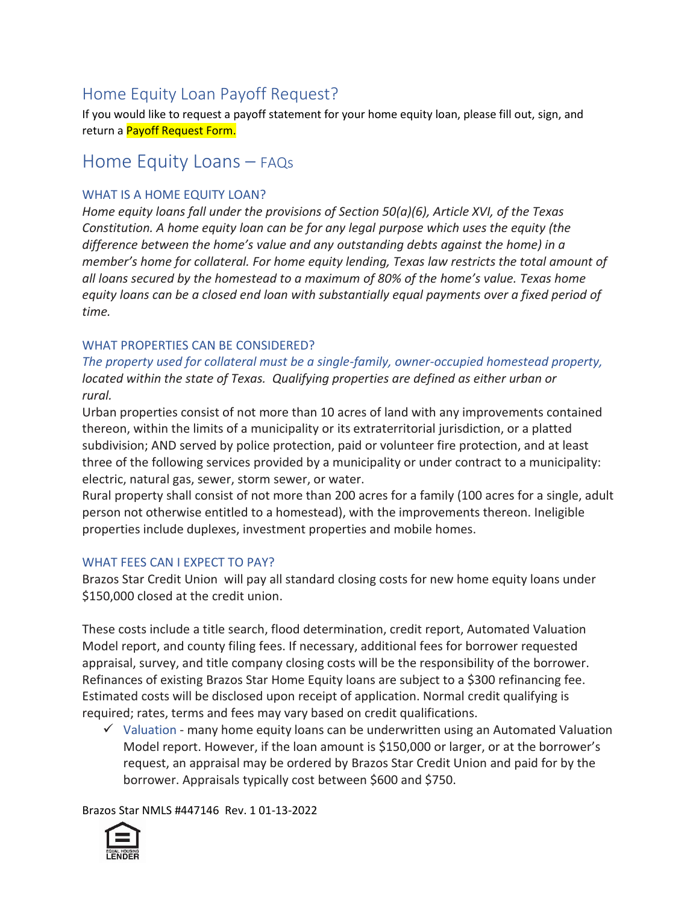# Home Equity Loan Payoff Request?

If you would like to request a payoff statement for your home equity loan, please fill out, sign, and return a Payoff Request Form.

# Home Equity Loans – FAQs

#### WHAT IS A HOME EQUITY LOAN?

*Home equity loans fall under the provisions of Section 50(a)(6), Article XVI, of the Texas Constitution. A home equity loan can be for any legal purpose which uses the equity (the difference between the home's value and any outstanding debts against the home) in a member's home for collateral. For home equity lending, Texas law restricts the total amount of all loans secured by the homestead to a maximum of 80% of the home's value. Texas home equity loans can be a closed end loan with substantially equal payments over a fixed period of time.*

#### WHAT PROPERTIES CAN BE CONSIDERED?

*The property used for collateral must be a single-family, owner-occupied homestead property, located within the state of Texas. Qualifying properties are defined as either urban or rural.* 

Urban properties consist of not more than 10 acres of land with any improvements contained thereon, within the limits of a municipality or its extraterritorial jurisdiction, or a platted subdivision; AND served by police protection, paid or volunteer fire protection, and at least three of the following services provided by a municipality or under contract to a municipality: electric, natural gas, sewer, storm sewer, or water.

Rural property shall consist of not more than 200 acres for a family (100 acres for a single, adult person not otherwise entitled to a homestead), with the improvements thereon. Ineligible properties include duplexes, investment properties and mobile homes.

#### WHAT FEES CAN I EXPECT TO PAY?

Brazos Star Credit Union will pay all standard closing costs for new home equity loans under \$150,000 closed at the credit union.

These costs include a title search, flood determination, credit report, Automated Valuation Model report, and county filing fees. If necessary, additional fees for borrower requested appraisal, survey, and title company closing costs will be the responsibility of the borrower. Refinances of existing Brazos Star Home Equity loans are subject to a \$300 refinancing fee. Estimated costs will be disclosed upon receipt of application. Normal credit qualifying is required; rates, terms and fees may vary based on credit qualifications.

 $\checkmark$  Valuation - many home equity loans can be underwritten using an Automated Valuation Model report. However, if the loan amount is \$150,000 or larger, or at the borrower's request, an appraisal may be ordered by Brazos Star Credit Union and paid for by the borrower. Appraisals typically cost between \$600 and \$750.

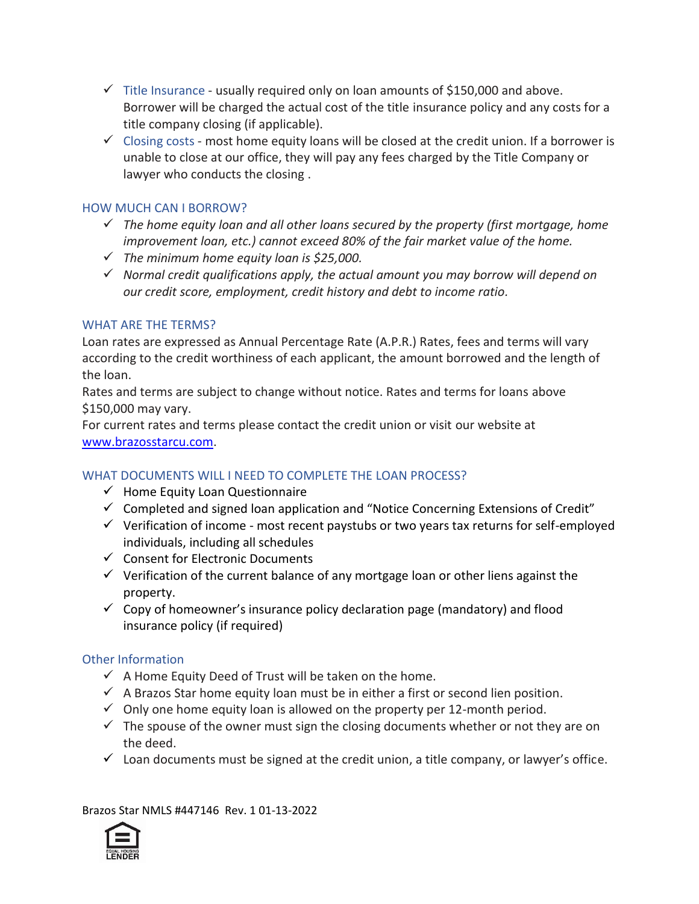- $\checkmark$  Title Insurance usually required only on loan amounts of \$150,000 and above. Borrower will be charged the actual cost of the title insurance policy and any costs for a title company closing (if applicable).
- $\checkmark$  Closing costs most home equity loans will be closed at the credit union. If a borrower is unable to close at our office, they will pay any fees charged by the Title Company or lawyer who conducts the closing .

#### HOW MUCH CAN I BORROW?

- ✓ *The home equity loan and all other loans secured by the property (first mortgage, home improvement loan, etc.) cannot exceed 80% of the fair market value of the home.*
- ✓ *The minimum home equity loan is \$25,000.*
- ✓ *Normal credit qualifications apply, the actual amount you may borrow will depend on our credit score, employment, credit history and debt to income ratio.*

#### WHAT ARE THE TERMS?

Loan rates are expressed as Annual Percentage Rate (A.P.R.) Rates, fees and terms will vary according to the credit worthiness of each applicant, the amount borrowed and the length of the loan.

Rates and terms are subject to change without notice. Rates and terms for loans above \$150,000 may vary.

For current rates and terms please contact the credit union or visit our website at [www.brazosstarcu.com.](www.brazosstarcu.com)

#### WHAT DOCUMENTS WILL I NEED TO COMPLETE THE LOAN PROCESS?

- $\checkmark$  Home Equity Loan Questionnaire
- $\checkmark$  Completed and signed loan application and "Notice Concerning Extensions of Credit"
- ✓ Verification of income most recent paystubs or two years tax returns for self-employed individuals, including all schedules
- ✓ Consent for Electronic Documents
- $\checkmark$  Verification of the current balance of any mortgage loan or other liens against the property.
- $\checkmark$  Copy of homeowner's insurance policy declaration page (mandatory) and flood insurance policy (if required)

#### Other Information

- $\checkmark$  A Home Equity Deed of Trust will be taken on the home.
- $\checkmark$  A Brazos Star home equity loan must be in either a first or second lien position.
- $\checkmark$  Only one home equity loan is allowed on the property per 12-month period.
- $\checkmark$  The spouse of the owner must sign the closing documents whether or not they are on the deed.
- $\checkmark$  Loan documents must be signed at the credit union, a title company, or lawyer's office.